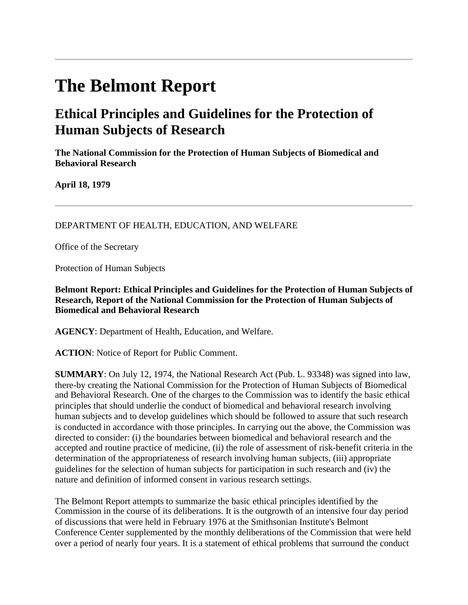## **The Belmont Report**

### **Ethical Principles and Guidelines for the Protection of Human Subjects of Research**

**The National Commission for the Protection of Human Subjects of Biomedical and Behavioral Research**

**April 18, 1979**

DEPARTMENT OF HEALTH, EDUCATION, AND WELFARE

Office of the Secretary

Protection of Human Subjects

**Belmont Report: Ethical Principles and Guidelines for the Protection of Human Subjects of Research, Report of the National Commission for the Protection of Human Subjects of Biomedical and Behavioral Research**

**AGENCY**: Department of Health, Education, and Welfare.

**ACTION**: Notice of Report for Public Comment.

**SUMMARY**: On July 12, 1974, the National Research Act (Pub. L. 93348) was signed into law, there-by creating the National Commission for the Protection of Human Subjects of Biomedical and Behavioral Research. One of the charges to the Commission was to identify the basic ethical principles that should underlie the conduct of biomedical and behavioral research involving human subjects and to develop guidelines which should be followed to assure that such research is conducted in accordance with those principles. In carrying out the above, the Commission was directed to consider: (i) the boundaries between biomedical and behavioral research and the accepted and routine practice of medicine, (ii) the role of assessment of risk-benefit criteria in the determination of the appropriateness of research involving human subjects, (iii) appropriate guidelines for the selection of human subjects for participation in such research and (iv) the nature and definition of informed consent in various research settings.

The Belmont Report attempts to summarize the basic ethical principles identified by the Commission in the course of its deliberations. It is the outgrowth of an intensive four day period of discussions that were held in February 1976 at the Smithsonian Institute's Belmont Conference Center supplemented by the monthly deliberations of the Commission that were held over a period of nearly four years. It is a statement of ethical problems that surround the conduct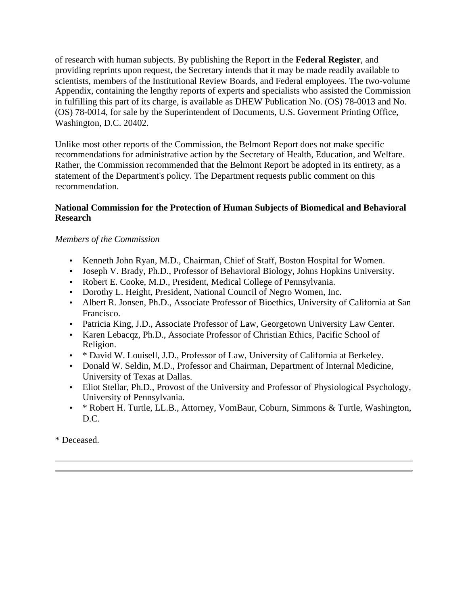of research with human subjects. By publishing the Report in the **Federal Register**, and providing reprints upon request, the Secretary intends that it may be made readily available to scientists, members of the Institutional Review Boards, and Federal employees. The two-volume Appendix, containing the lengthy reports of experts and specialists who assisted the Commission in fulfilling this part of its charge, is available as DHEW Publication No. (OS) 78-0013 and No. (OS) 78-0014, for sale by the Superintendent of Documents, U.S. Goverment Printing Office, Washington, D.C. 20402.

Unlike most other reports of the Commission, the Belmont Report does not make specific recommendations for administrative action by the Secretary of Health, Education, and Welfare. Rather, the Commission recommended that the Belmont Report be adopted in its entirety, as a statement of the Department's policy. The Department requests public comment on this recommendation.

#### **National Commission for the Protection of Human Subjects of Biomedical and Behavioral Research**

*Members of the Commission*

- Kenneth John Ryan, M.D., Chairman, Chief of Staff, Boston Hospital for Women.
- Joseph V. Brady, Ph.D., Professor of Behavioral Biology, Johns Hopkins University.
- Robert E. Cooke, M.D., President, Medical College of Pennsylvania.
- Dorothy L. Height, President, National Council of Negro Women, Inc.
- Albert R. Jonsen, Ph.D., Associate Professor of Bioethics, University of California at San Francisco.
- Patricia King, J.D., Associate Professor of Law, Georgetown University Law Center.
- Karen Lebacqz, Ph.D., Associate Professor of Christian Ethics, Pacific School of Religion.
- \* David W. Louisell, J.D., Professor of Law, University of California at Berkeley.
- Donald W. Seldin, M.D., Professor and Chairman, Department of Internal Medicine, University of Texas at Dallas.
- Eliot Stellar, Ph.D., Provost of the University and Professor of Physiological Psychology, University of Pennsylvania.
- \* Robert H. Turtle, LL.B., Attorney, VomBaur, Coburn, Simmons & Turtle, Washington, D.C.

\* Deceased.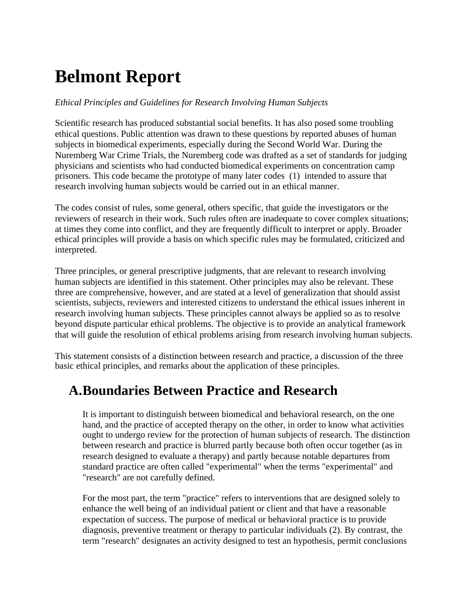# **Belmont Report**

### *Ethical Principles and Guidelines for Research Involving Human Subjects*

Scientific research has produced substantial social benefits. It has also posed some troubling ethical questions. Public attention was drawn to these questions by reported abuses of human subjects in biomedical experiments, especially during the Second World War. During the Nuremberg War Crime Trials, the Nuremberg code was drafted as a set of standards for judging physicians and scientists who had conducted biomedical experiments on concentration camp prisoners. This code became the prototype of many later codes (1) intended to assure that research involving human subjects would be carried out in an ethical manner.

The codes consist of rules, some general, others specific, that guide the investigators or the reviewers of research in their work. Such rules often are inadequate to cover complex situations; at times they come into conflict, and they are frequently difficult to interpret or apply. Broader ethical principles will provide a basis on which specific rules may be formulated, criticized and interpreted.

Three principles, or general prescriptive judgments, that are relevant to research involving human subjects are identified in this statement. Other principles may also be relevant. These three are comprehensive, however, and are stated at a level of generalization that should assist scientists, subjects, reviewers and interested citizens to understand the ethical issues inherent in research involving human subjects. These principles cannot always be applied so as to resolve beyond dispute particular ethical problems. The objective is to provide an analytical framework that will guide the resolution of ethical problems arising from research involving human subjects.

This statement consists of a distinction between research and practice, a discussion of the three basic ethical principles, and remarks about the application of these principles.

### **A.Boundaries Between Practice and Research**

It is important to distinguish between biomedical and behavioral research, on the one hand, and the practice of accepted therapy on the other, in order to know what activities ought to undergo review for the protection of human subjects of research. The distinction between research and practice is blurred partly because both often occur together (as in research designed to evaluate a therapy) and partly because notable departures from standard practice are often called "experimental" when the terms "experimental" and "research" are not carefully defined.

For the most part, the term "practice" refers to interventions that are designed solely to enhance the well being of an individual patient or client and that have a reasonable expectation of success. The purpose of medical or behavioral practice is to provide diagnosis, preventive treatment or therapy to particular individuals (2). By contrast, the term "research" designates an activity designed to test an hypothesis, permit conclusions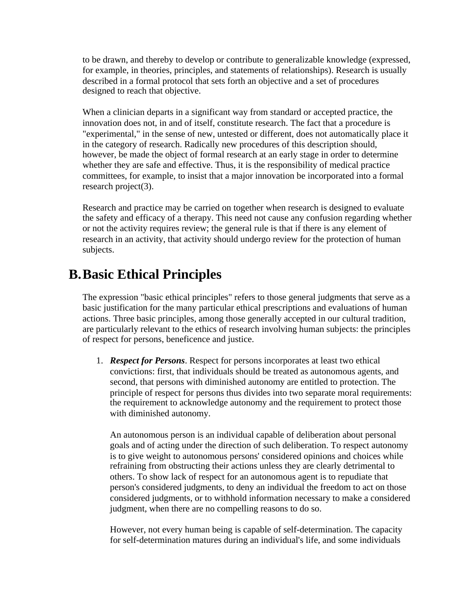to be drawn, and thereby to develop or contribute to generalizable knowledge (expressed, for example, in theories, principles, and statements of relationships). Research is usually described in a formal protocol that sets forth an objective and a set of procedures designed to reach that objective.

When a clinician departs in a significant way from standard or accepted practice, the innovation does not, in and of itself, constitute research. The fact that a procedure is "experimental," in the sense of new, untested or different, does not automatically place it in the category of research. Radically new procedures of this description should, however, be made the object of formal research at an early stage in order to determine whether they are safe and effective. Thus, it is the responsibility of medical practice committees, for example, to insist that a major innovation be incorporated into a formal research project(3).

Research and practice may be carried on together when research is designed to evaluate the safety and efficacy of a therapy. This need not cause any confusion regarding whether or not the activity requires review; the general rule is that if there is any element of research in an activity, that activity should undergo review for the protection of human subjects.

### **B.Basic Ethical Principles**

The expression "basic ethical principles" refers to those general judgments that serve as a basic justification for the many particular ethical prescriptions and evaluations of human actions. Three basic principles, among those generally accepted in our cultural tradition, are particularly relevant to the ethics of research involving human subjects: the principles of respect for persons, beneficence and justice.

1. *Respect for Persons*. Respect for persons incorporates at least two ethical convictions: first, that individuals should be treated as autonomous agents, and second, that persons with diminished autonomy are entitled to protection. The principle of respect for persons thus divides into two separate moral requirements: the requirement to acknowledge autonomy and the requirement to protect those with diminished autonomy.

An autonomous person is an individual capable of deliberation about personal goals and of acting under the direction of such deliberation. To respect autonomy is to give weight to autonomous persons' considered opinions and choices while refraining from obstructing their actions unless they are clearly detrimental to others. To show lack of respect for an autonomous agent is to repudiate that person's considered judgments, to deny an individual the freedom to act on those considered judgments, or to withhold information necessary to make a considered judgment, when there are no compelling reasons to do so.

However, not every human being is capable of self-determination. The capacity for self-determination matures during an individual's life, and some individuals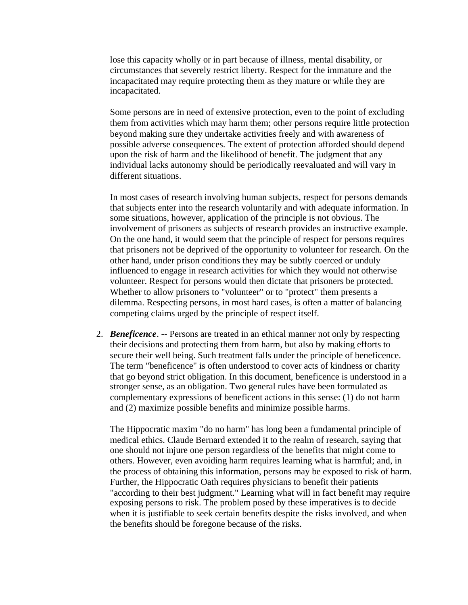lose this capacity wholly or in part because of illness, mental disability, or circumstances that severely restrict liberty. Respect for the immature and the incapacitated may require protecting them as they mature or while they are incapacitated.

Some persons are in need of extensive protection, even to the point of excluding them from activities which may harm them; other persons require little protection beyond making sure they undertake activities freely and with awareness of possible adverse consequences. The extent of protection afforded should depend upon the risk of harm and the likelihood of benefit. The judgment that any individual lacks autonomy should be periodically reevaluated and will vary in different situations.

In most cases of research involving human subjects, respect for persons demands that subjects enter into the research voluntarily and with adequate information. In some situations, however, application of the principle is not obvious. The involvement of prisoners as subjects of research provides an instructive example. On the one hand, it would seem that the principle of respect for persons requires that prisoners not be deprived of the opportunity to volunteer for research. On the other hand, under prison conditions they may be subtly coerced or unduly influenced to engage in research activities for which they would not otherwise volunteer. Respect for persons would then dictate that prisoners be protected. Whether to allow prisoners to "volunteer" or to "protect" them presents a dilemma. Respecting persons, in most hard cases, is often a matter of balancing competing claims urged by the principle of respect itself.

2. *Beneficence*. -- Persons are treated in an ethical manner not only by respecting their decisions and protecting them from harm, but also by making efforts to secure their well being. Such treatment falls under the principle of beneficence. The term "beneficence" is often understood to cover acts of kindness or charity that go beyond strict obligation. In this document, beneficence is understood in a stronger sense, as an obligation. Two general rules have been formulated as complementary expressions of beneficent actions in this sense: (1) do not harm and (2) maximize possible benefits and minimize possible harms.

The Hippocratic maxim "do no harm" has long been a fundamental principle of medical ethics. Claude Bernard extended it to the realm of research, saying that one should not injure one person regardless of the benefits that might come to others. However, even avoiding harm requires learning what is harmful; and, in the process of obtaining this information, persons may be exposed to risk of harm. Further, the Hippocratic Oath requires physicians to benefit their patients "according to their best judgment." Learning what will in fact benefit may require exposing persons to risk. The problem posed by these imperatives is to decide when it is justifiable to seek certain benefits despite the risks involved, and when the benefits should be foregone because of the risks.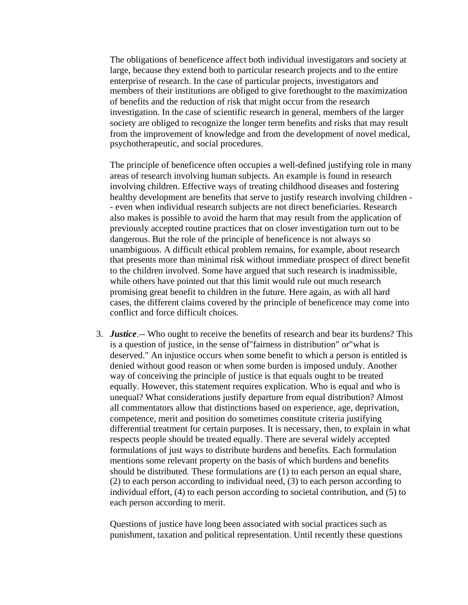The obligations of beneficence affect both individual investigators and society at large, because they extend both to particular research projects and to the entire enterprise of research. In the case of particular projects, investigators and members of their institutions are obliged to give forethought to the maximization of benefits and the reduction of risk that might occur from the research investigation. In the case of scientific research in general, members of the larger society are obliged to recognize the longer term benefits and risks that may result from the improvement of knowledge and from the development of novel medical, psychotherapeutic, and social procedures.

The principle of beneficence often occupies a well-defined justifying role in many areas of research involving human subjects. An example is found in research involving children. Effective ways of treating childhood diseases and fostering healthy development are benefits that serve to justify research involving children - - even when individual research subjects are not direct beneficiaries. Research also makes is possible to avoid the harm that may result from the application of previously accepted routine practices that on closer investigation turn out to be dangerous. But the role of the principle of beneficence is not always so unambiguous. A difficult ethical problem remains, for example, about research that presents more than minimal risk without immediate prospect of direct benefit to the children involved. Some have argued that such research is inadmissible, while others have pointed out that this limit would rule out much research promising great benefit to children in the future. Here again, as with all hard cases, the different claims covered by the principle of beneficence may come into conflict and force difficult choices.

3. *Justice*.-- Who ought to receive the benefits of research and bear its burdens? This is a question of justice, in the sense of"fairness in distribution" or"what is deserved." An injustice occurs when some benefit to which a person is entitled is denied without good reason or when some burden is imposed unduly. Another way of conceiving the principle of justice is that equals ought to be treated equally. However, this statement requires explication. Who is equal and who is unequal? What considerations justify departure from equal distribution? Almost all commentators allow that distinctions based on experience, age, deprivation, competence, merit and position do sometimes constitute criteria justifying differential treatment for certain purposes. It is necessary, then, to explain in what respects people should be treated equally. There are several widely accepted formulations of just ways to distribute burdens and benefits. Each formulation mentions some relevant property on the basis of which burdens and benefits should be distributed. These formulations are (1) to each person an equal share, (2) to each person according to individual need, (3) to each person according to individual effort, (4) to each person according to societal contribution, and (5) to each person according to merit.

Questions of justice have long been associated with social practices such as punishment, taxation and political representation. Until recently these questions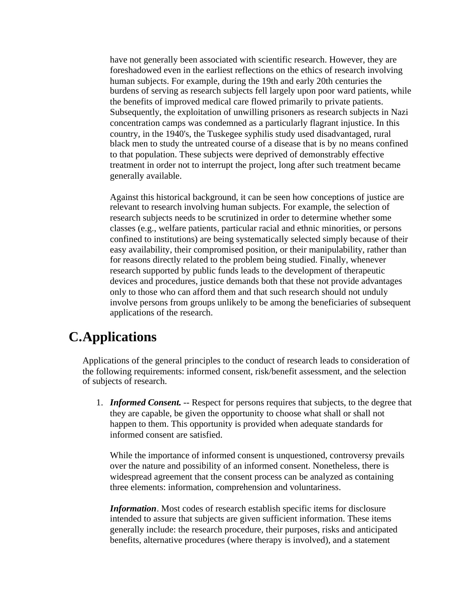have not generally been associated with scientific research. However, they are foreshadowed even in the earliest reflections on the ethics of research involving human subjects. For example, during the 19th and early 20th centuries the burdens of serving as research subjects fell largely upon poor ward patients, while the benefits of improved medical care flowed primarily to private patients. Subsequently, the exploitation of unwilling prisoners as research subjects in Nazi concentration camps was condemned as a particularly flagrant injustice. In this country, in the 1940's, the Tuskegee syphilis study used disadvantaged, rural black men to study the untreated course of a disease that is by no means confined to that population. These subjects were deprived of demonstrably effective treatment in order not to interrupt the project, long after such treatment became generally available.

Against this historical background, it can be seen how conceptions of justice are relevant to research involving human subjects. For example, the selection of research subjects needs to be scrutinized in order to determine whether some classes (e.g., welfare patients, particular racial and ethnic minorities, or persons confined to institutions) are being systematically selected simply because of their easy availability, their compromised position, or their manipulability, rather than for reasons directly related to the problem being studied. Finally, whenever research supported by public funds leads to the development of therapeutic devices and procedures, justice demands both that these not provide advantages only to those who can afford them and that such research should not unduly involve persons from groups unlikely to be among the beneficiaries of subsequent applications of the research.

### **C.Applications**

Applications of the general principles to the conduct of research leads to consideration of the following requirements: informed consent, risk/benefit assessment, and the selection of subjects of research.

1. *Informed Consent.* -- Respect for persons requires that subjects, to the degree that they are capable, be given the opportunity to choose what shall or shall not happen to them. This opportunity is provided when adequate standards for informed consent are satisfied.

While the importance of informed consent is unquestioned, controversy prevails over the nature and possibility of an informed consent. Nonetheless, there is widespread agreement that the consent process can be analyzed as containing three elements: information, comprehension and voluntariness.

*Information*. Most codes of research establish specific items for disclosure intended to assure that subjects are given sufficient information. These items generally include: the research procedure, their purposes, risks and anticipated benefits, alternative procedures (where therapy is involved), and a statement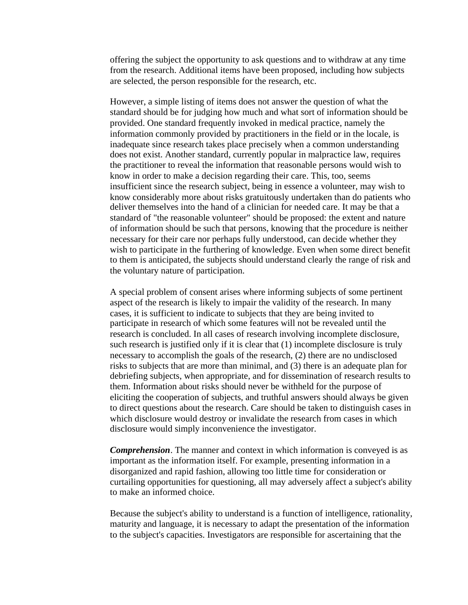offering the subject the opportunity to ask questions and to withdraw at any time from the research. Additional items have been proposed, including how subjects are selected, the person responsible for the research, etc.

However, a simple listing of items does not answer the question of what the standard should be for judging how much and what sort of information should be provided. One standard frequently invoked in medical practice, namely the information commonly provided by practitioners in the field or in the locale, is inadequate since research takes place precisely when a common understanding does not exist. Another standard, currently popular in malpractice law, requires the practitioner to reveal the information that reasonable persons would wish to know in order to make a decision regarding their care. This, too, seems insufficient since the research subject, being in essence a volunteer, may wish to know considerably more about risks gratuitously undertaken than do patients who deliver themselves into the hand of a clinician for needed care. It may be that a standard of "the reasonable volunteer" should be proposed: the extent and nature of information should be such that persons, knowing that the procedure is neither necessary for their care nor perhaps fully understood, can decide whether they wish to participate in the furthering of knowledge. Even when some direct benefit to them is anticipated, the subjects should understand clearly the range of risk and the voluntary nature of participation.

A special problem of consent arises where informing subjects of some pertinent aspect of the research is likely to impair the validity of the research. In many cases, it is sufficient to indicate to subjects that they are being invited to participate in research of which some features will not be revealed until the research is concluded. In all cases of research involving incomplete disclosure, such research is justified only if it is clear that (1) incomplete disclosure is truly necessary to accomplish the goals of the research, (2) there are no undisclosed risks to subjects that are more than minimal, and (3) there is an adequate plan for debriefing subjects, when appropriate, and for dissemination of research results to them. Information about risks should never be withheld for the purpose of eliciting the cooperation of subjects, and truthful answers should always be given to direct questions about the research. Care should be taken to distinguish cases in which disclosure would destroy or invalidate the research from cases in which disclosure would simply inconvenience the investigator.

*Comprehension*. The manner and context in which information is conveyed is as important as the information itself. For example, presenting information in a disorganized and rapid fashion, allowing too little time for consideration or curtailing opportunities for questioning, all may adversely affect a subject's ability to make an informed choice.

Because the subject's ability to understand is a function of intelligence, rationality, maturity and language, it is necessary to adapt the presentation of the information to the subject's capacities. Investigators are responsible for ascertaining that the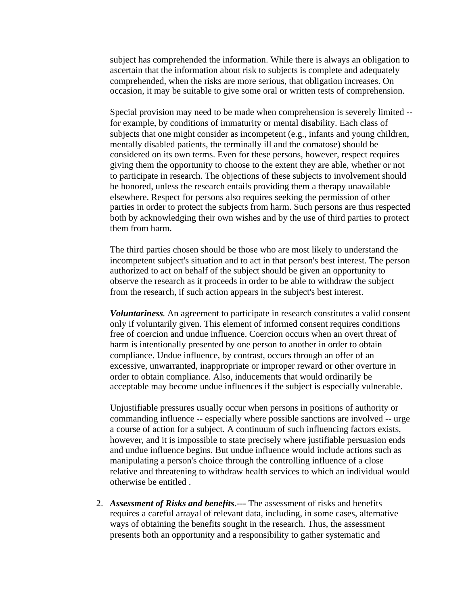subject has comprehended the information. While there is always an obligation to ascertain that the information about risk to subjects is complete and adequately comprehended, when the risks are more serious, that obligation increases. On occasion, it may be suitable to give some oral or written tests of comprehension.

Special provision may need to be made when comprehension is severely limited - for example, by conditions of immaturity or mental disability. Each class of subjects that one might consider as incompetent (e.g., infants and young children, mentally disabled patients, the terminally ill and the comatose) should be considered on its own terms. Even for these persons, however, respect requires giving them the opportunity to choose to the extent they are able, whether or not to participate in research. The objections of these subjects to involvement should be honored, unless the research entails providing them a therapy unavailable elsewhere. Respect for persons also requires seeking the permission of other parties in order to protect the subjects from harm. Such persons are thus respected both by acknowledging their own wishes and by the use of third parties to protect them from harm.

The third parties chosen should be those who are most likely to understand the incompetent subject's situation and to act in that person's best interest. The person authorized to act on behalf of the subject should be given an opportunity to observe the research as it proceeds in order to be able to withdraw the subject from the research, if such action appears in the subject's best interest.

*Voluntariness*. An agreement to participate in research constitutes a valid consent only if voluntarily given. This element of informed consent requires conditions free of coercion and undue influence. Coercion occurs when an overt threat of harm is intentionally presented by one person to another in order to obtain compliance. Undue influence, by contrast, occurs through an offer of an excessive, unwarranted, inappropriate or improper reward or other overture in order to obtain compliance. Also, inducements that would ordinarily be acceptable may become undue influences if the subject is especially vulnerable.

Unjustifiable pressures usually occur when persons in positions of authority or commanding influence -- especially where possible sanctions are involved -- urge a course of action for a subject. A continuum of such influencing factors exists, however, and it is impossible to state precisely where justifiable persuasion ends and undue influence begins. But undue influence would include actions such as manipulating a person's choice through the controlling influence of a close relative and threatening to withdraw health services to which an individual would otherwise be entitled .

2. *Assessment of Risks and benefits*.--- The assessment of risks and benefits requires a careful arrayal of relevant data, including, in some cases, alternative ways of obtaining the benefits sought in the research. Thus, the assessment presents both an opportunity and a responsibility to gather systematic and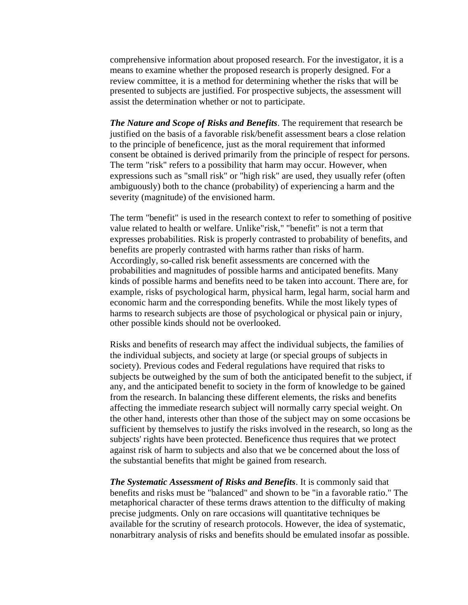comprehensive information about proposed research. For the investigator, it is a means to examine whether the proposed research is properly designed. For a review committee, it is a method for determining whether the risks that will be presented to subjects are justified. For prospective subjects, the assessment will assist the determination whether or not to participate.

*The Nature and Scope of Risks and Benefits*. The requirement that research be justified on the basis of a favorable risk/benefit assessment bears a close relation to the principle of beneficence, just as the moral requirement that informed consent be obtained is derived primarily from the principle of respect for persons. The term "risk" refers to a possibility that harm may occur. However, when expressions such as "small risk" or "high risk" are used, they usually refer (often ambiguously) both to the chance (probability) of experiencing a harm and the severity (magnitude) of the envisioned harm.

The term "benefit" is used in the research context to refer to something of positive value related to health or welfare. Unlike"risk," "benefit" is not a term that expresses probabilities. Risk is properly contrasted to probability of benefits, and benefits are properly contrasted with harms rather than risks of harm. Accordingly, so-called risk benefit assessments are concerned with the probabilities and magnitudes of possible harms and anticipated benefits. Many kinds of possible harms and benefits need to be taken into account. There are, for example, risks of psychological harm, physical harm, legal harm, social harm and economic harm and the corresponding benefits. While the most likely types of harms to research subjects are those of psychological or physical pain or injury, other possible kinds should not be overlooked.

Risks and benefits of research may affect the individual subjects, the families of the individual subjects, and society at large (or special groups of subjects in society). Previous codes and Federal regulations have required that risks to subjects be outweighed by the sum of both the anticipated benefit to the subject, if any, and the anticipated benefit to society in the form of knowledge to be gained from the research. In balancing these different elements, the risks and benefits affecting the immediate research subject will normally carry special weight. On the other hand, interests other than those of the subject may on some occasions be sufficient by themselves to justify the risks involved in the research, so long as the subjects' rights have been protected. Beneficence thus requires that we protect against risk of harm to subjects and also that we be concerned about the loss of the substantial benefits that might be gained from research.

*The Systematic Assessment of Risks and Benefits*. It is commonly said that benefits and risks must be "balanced" and shown to be "in a favorable ratio." The metaphorical character of these terms draws attention to the difficulty of making precise judgments. Only on rare occasions will quantitative techniques be available for the scrutiny of research protocols. However, the idea of systematic, nonarbitrary analysis of risks and benefits should be emulated insofar as possible.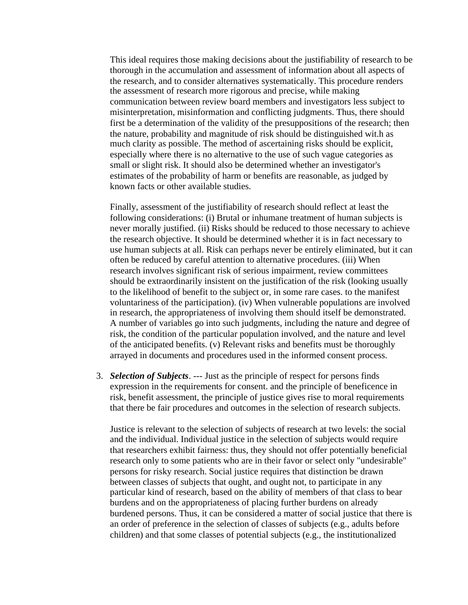This ideal requires those making decisions about the justifiability of research to be thorough in the accumulation and assessment of information about all aspects of the research, and to consider alternatives systematically. This procedure renders the assessment of research more rigorous and precise, while making communication between review board members and investigators less subject to misinterpretation, misinformation and conflicting judgments. Thus, there should first be a determination of the validity of the presuppositions of the research; then the nature, probability and magnitude of risk should be distinguished wit.h as much clarity as possible. The method of ascertaining risks should be explicit, especially where there is no alternative to the use of such vague categories as small or slight risk. It should also be determined whether an investigator's estimates of the probability of harm or benefits are reasonable, as judged by known facts or other available studies.

Finally, assessment of the justifiability of research should reflect at least the following considerations: (i) Brutal or inhumane treatment of human subjects is never morally justified. (ii) Risks should be reduced to those necessary to achieve the research objective. It should be determined whether it is in fact necessary to use human subjects at all. Risk can perhaps never be entirely eliminated, but it can often be reduced by careful attention to alternative procedures. (iii) When research involves significant risk of serious impairment, review committees should be extraordinarily insistent on the justification of the risk (looking usually to the likelihood of benefit to the subject or, in some rare cases. to the manifest voluntariness of the participation). (iv) When vulnerable populations are involved in research, the appropriateness of involving them should itself be demonstrated. A number of variables go into such judgments, including the nature and degree of risk, the condition of the particular population involved, and the nature and level of the anticipated benefits. (v) Relevant risks and benefits must be thoroughly arrayed in documents and procedures used in the informed consent process.

3. *Selection of Subjects*. --- Just as the principle of respect for persons finds expression in the requirements for consent. and the principle of beneficence in risk, benefit assessment, the principle of justice gives rise to moral requirements that there be fair procedures and outcomes in the selection of research subjects.

Justice is relevant to the selection of subjects of research at two levels: the social and the individual. Individual justice in the selection of subjects would require that researchers exhibit fairness: thus, they should not offer potentially beneficial research only to some patients who are in their favor or select only "undesirable" persons for risky research. Social justice requires that distinction be drawn between classes of subjects that ought, and ought not, to participate in any particular kind of research, based on the ability of members of that class to bear burdens and on the appropriateness of placing further burdens on already burdened persons. Thus, it can be considered a matter of social justice that there is an order of preference in the selection of classes of subjects (e.g., adults before children) and that some classes of potential subjects (e.g., the institutionalized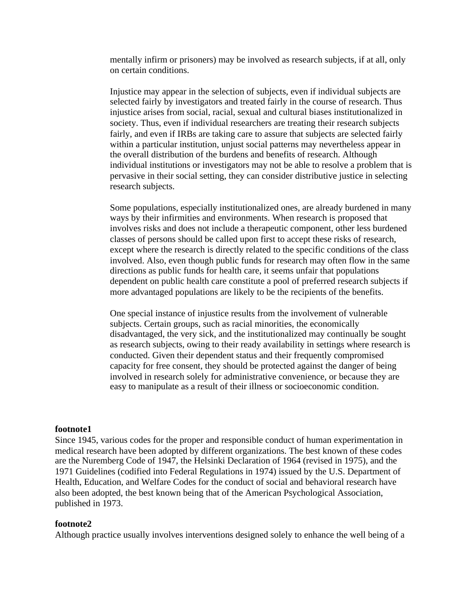mentally infirm or prisoners) may be involved as research subjects, if at all, only on certain conditions.

Injustice may appear in the selection of subjects, even if individual subjects are selected fairly by investigators and treated fairly in the course of research. Thus injustice arises from social, racial, sexual and cultural biases institutionalized in society. Thus, even if individual researchers are treating their research subjects fairly, and even if IRBs are taking care to assure that subjects are selected fairly within a particular institution, unjust social patterns may nevertheless appear in the overall distribution of the burdens and benefits of research. Although individual institutions or investigators may not be able to resolve a problem that is pervasive in their social setting, they can consider distributive justice in selecting research subjects.

Some populations, especially institutionalized ones, are already burdened in many ways by their infirmities and environments. When research is proposed that involves risks and does not include a therapeutic component, other less burdened classes of persons should be called upon first to accept these risks of research, except where the research is directly related to the specific conditions of the class involved. Also, even though public funds for research may often flow in the same directions as public funds for health care, it seems unfair that populations dependent on public health care constitute a pool of preferred research subjects if more advantaged populations are likely to be the recipients of the benefits.

One special instance of injustice results from the involvement of vulnerable subjects. Certain groups, such as racial minorities, the economically disadvantaged, the very sick, and the institutionalized may continually be sought as research subjects, owing to their ready availability in settings where research is conducted. Given their dependent status and their frequently compromised capacity for free consent, they should be protected against the danger of being involved in research solely for administrative convenience, or because they are easy to manipulate as a result of their illness or socioeconomic condition.

#### **footnote1**

Since 1945, various codes for the proper and responsible conduct of human experimentation in medical research have been adopted by different organizations. The best known of these codes are the Nuremberg Code of 1947, the Helsinki Declaration of 1964 (revised in 1975), and the 1971 Guidelines (codified into Federal Regulations in 1974) issued by the U.S. Department of Health, Education, and Welfare Codes for the conduct of social and behavioral research have also been adopted, the best known being that of the American Psychological Association, published in 1973.

#### **footnote2**

Although practice usually involves interventions designed solely to enhance the well being of a